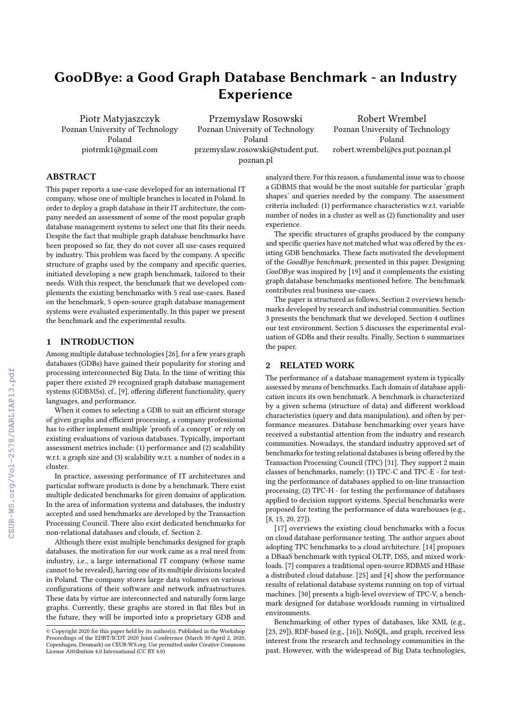# GooDBye: a Good Graph Database Benchmark - an Industry Experience

Piotr Matyjaszczyk Poznan University of Technology Poland piotrmk1@gmail.com

Przemyslaw Rosowski Poznan University of Technology Poland przemyslaw.rosowski@student.put. poznan.pl

Robert Wrembel Poznan University of Technology Poland robert.wrembel@cs.put.poznan.pl

## ABSTRACT

This paper reports a use-case developed for an international IT company, whose one of multiple branches is located in Poland. In order to deploy a graph database in their IT architecture, the company needed an assessment of some of the most popular graph database management systems to select one that fits their needs. Despite the fact that multiple graph database benchmarks have been proposed so far, they do not cover all use-cases required by industry. This problem was faced by the company. A specific structure of graphs used by the company and specific queries, initiated developing a new graph benchmark, tailored to their needs. With this respect, the benchmark that we developed complements the existing benchmarks with 5 real use-cases. Based on the benchmark, 5 open-source graph database management systems were evaluated experimentally. In this paper we present the benchmark and the experimental results.

## 1 INTRODUCTION

Among multiple database technologies [\[26\]](#page--1-0), for a few years graph databases (GDBs) have gained their popularity for storing and processing interconnected Big Data. In the time of writing this paper there existed 29 recognized graph database management systems (GDBMSs), cf., [\[9\]](#page--1-1), offering different functionality, query languages, and performance.

When it comes to selecting a GDB to suit an efficient storage of given graphs and efficient processing, a company professional has to either implement multiple 'proofs of a concept' or rely on existing evaluations of various databases. Typically, important assessment metrics include: (1) performance and (2) scalability w.r.t. a graph size and (3) scalability w.r.t. a number of nodes in a cluster.

In practice, assessing performance of IT architectures and particular software products is done by a benchmark. There exist multiple dedicated benchmarks for given domains of application. In the area of information systems and databases, the industry accepted and used benchmarks are developed by the Transaction Processing Council. There also exist dedicated benchmarks for non-relational databases and clouds, cf. Section [2.](#page-0-0)

Although there exist multiple benchmarks designed for graph databases, the motivation for our work came as a real need from industry, i.e., a large international IT company (whose name cannot to be revealed), having one of its multiple divisions located in Poland. The company stores large data volumes on various configurations of their software and network infrastructures. These data by virtue are interconnected and naturally form large graphs. Currently, these graphs are stored in flat files but in the future, they will be imported into a proprietary GDB and

analyzed there. For this reason, a fundamental issue was to choose a GDBMS that would be the most suitable for particular 'graph shapes' and queries needed by the company. The assessment criteria included: (1) performance characteristics w.r.t. variable number of nodes in a cluster as well as (2) functionality and user experience

The specific structures of graphs produced by the company and specific queries have not matched what was offered by the existing GDB benchmarks. These facts motivated the development of the GoodBye benchmark, presented in this paper. Designing GooDBye was inspired by [\[19\]](#page--1-2) and it complements the existing graph database benchmarks mentioned before. The benchmark contributes real business use-cases.

The paper is structured as follows. Section [2](#page-0-0) overviews benchmarks developed by research and industrial communities. Section [3](#page--1-3) presents the benchmark that we developed. Section [4](#page--1-4) outlines our test environment. Section [5](#page--1-5) discusses the experimental evaluation of GDBs and their results. Finally, Section [6](#page--1-6) summarizes the paper.

### <span id="page-0-0"></span>2 RELATED WORK

The performance of a database management system is typically assessed by means of benchmarks. Each domain of database application incurs its own benchmark. A benchmark is characterized by a given schema (structure of data) and different workload characteristics (query and data manipulation), and often by performance measures. Database benchmarking over years have received a substantial attention from the industry and research communities. Nowadays, the standard industry approved set of benchmarks for testing relational databases is being offered by the Transaction Processing Council (TPC) [\[31\]](#page--1-7). They support 2 main classes of benchmarks, namely: (1) TPC-C and TPC-E - for testing the performance of databases applied to on-line transaction processing, (2) TPC-H - for testing the performance of databases applied to decision support systems. Special benchmarks were proposed for testing the performance of data warehouses (e.g., [\[8,](#page--1-8) [15,](#page--1-9) [20,](#page--1-10) [27\]](#page--1-11)).

[\[17\]](#page--1-12) overviews the existing cloud benchmarks with a focus on cloud database performance testing. The author argues about adopting TPC benchmarks to a cloud architecture. [\[14\]](#page--1-13) proposes a DBaaS benchmark with typical OLTP, DSS, and mixed workloads. [\[7\]](#page--1-14) compares a traditional open-source RDBMS and HBase a distributed cloud database. [\[25\]](#page--1-15) and [\[4\]](#page--1-16) show the performance results of relational database systems running on top of virtual machines. [\[30\]](#page--1-17) presents a high-level overview of TPC-V, a benchmark designed for database workloads running in virtualized environments.

Benchmarking of other types of databases, like XML (e.g., [\[23,](#page--1-18) [29\]](#page--1-19)), RDF-based (e.g., [\[16\]](#page--1-20)), NoSQL, and graph, received less interest from the research and technology communities in the past. However, with the widespread of Big Data technologies,

<sup>©</sup> Copyright 2020 for this paper held by its author(s). Published in the Workshop Proceedings of the EDBT/ICDT 2020 Joint Conference (March 30-April 2, 2020, Copenhagen, Denmark) on CEUR-WS.org. Use permitted under Creative Commons License Attribution 4.0 International (CC BY 4.0)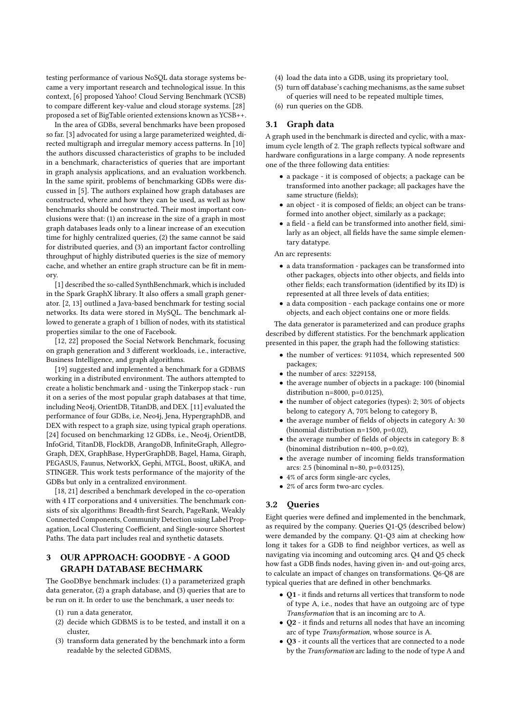testing performance of various NoSQL data storage systems became a very important research and technological issue. In this context, [\[6\]](#page-5-0) proposed Yahoo! Cloud Serving Benchmark (YCSB) to compare different key-value and cloud storage systems. [\[28\]](#page-5-1) proposed a set of BigTable oriented extensions known as YCSB++.

In the area of GDBs, several benchmarks have been proposed so far. [\[3\]](#page-5-2) advocated for using a large parameterized weighted, directed multigraph and irregular memory access patterns. In [\[10\]](#page-5-3) the authors discussed characteristics of graphs to be included in a benchmark, characteristics of queries that are important in graph analysis applications, and an evaluation workbench. In the same spirit, problems of benchmarking GDBs were discussed in [\[5\]](#page-5-4). The authors explained how graph databases are constructed, where and how they can be used, as well as how benchmarks should be constructed. Their most important conclusions were that: (1) an increase in the size of a graph in most graph databases leads only to a linear increase of an execution time for highly centralized queries, (2) the same cannot be said for distributed queries, and (3) an important factor controlling throughput of highly distributed queries is the size of memory cache, and whether an entire graph structure can be fit in memory.

[\[1\]](#page-5-5) described the so-called SynthBenchmark, which is included in the Spark GraphX library. It also offers a small graph generator. [\[2,](#page-5-6) [13\]](#page-5-7) outlined a Java-based benchmark for testing social networks. Its data were stored in MySQL. The benchmark allowed to generate a graph of 1 billion of nodes, with its statistical properties similar to the one of Facebook.

[\[12,](#page-5-8) [22\]](#page-5-9) proposed the Social Network Benchmark, focusing on graph generation and 3 different workloads, i.e., interactive, Business Intelligence, and graph algorithms.

[\[19\]](#page-5-10) suggested and implemented a benchmark for a GDBMS working in a distributed environment. The authors attempted to create a holistic benchmark and - using the Tinkerpop stack - run it on a series of the most popular graph databases at that time, including Neo4j, OrientDB, TitanDB, and DEX. [\[11\]](#page-5-11) evaluated the performance of four GDBs, i.e, Neo4j, Jena, HypergraphDB, and DEX with respect to a graph size, using typical graph operations. [\[24\]](#page-5-12) focused on benchmarking 12 GDBs, i.e., Neo4j, OrientDB, InfoGrid, TitanDB, FlockDB, ArangoDB, InfiniteGraph, Allegro-Graph, DEX, GraphBase, HyperGraphDB, Bagel, Hama, Giraph, PEGASUS, Faunus, NetworkX, Gephi, MTGL, Boost, uRiKA, and STINGER. This work tests performance of the majority of the GDBs but only in a centralized environment.

[\[18,](#page-5-13) [21\]](#page-5-14) described a benchmark developed in the co-operation with 4 IT corporations and 4 universities. The benchmark consists of six algorithms: Breadth-first Search, PageRank, Weakly Connected Components, Community Detection using Label Propagation, Local Clustering Coefficient, and Single-source Shortest Paths. The data part includes real and synthetic datasets.

## 3 OUR APPROACH: GOODBYE - A GOOD GRAPH DATABASE BECHMARK

The GooDBye benchmark includes: (1) a parameterized graph data generator, (2) a graph database, and (3) queries that are to be run on it. In order to use the benchmark, a user needs to:

- (1) run a data generator,
- (2) decide which GDBMS is to be tested, and install it on a cluster,
- (3) transform data generated by the benchmark into a form readable by the selected GDBMS,
- (4) load the data into a GDB, using its proprietary tool,
- (5) turn off database's caching mechanisms, as the same subset of queries will need to be repeated multiple times,
- (6) run queries on the GDB.

#### 3.1 Graph data

A graph used in the benchmark is directed and cyclic, with a maximum cycle length of 2. The graph reflects typical software and hardware configurations in a large company. A node represents one of the three following data entities:

- a package it is composed of objects; a package can be transformed into another package; all packages have the same structure (fields);
- an object it is composed of fields; an object can be transformed into another object, similarly as a package;
- a field a field can be transformed into another field, similarly as an object, all fields have the same simple elementary datatype.

An arc represents:

- a data transformation packages can be transformed into other packages, objects into other objects, and fields into other fields; each transformation (identified by its ID) is represented at all three levels of data entities;
- a data composition each package contains one or more objects, and each object contains one or more fields.

The data generator is parameterized and can produce graphs described by different statistics. For the benchmark application presented in this paper, the graph had the following statistics:

- the number of vertices: 911034, which represented 500 packages;
- the number of arcs: 3229158,
- the average number of objects in a package: 100 (binomial distribution  $n=8000$ ,  $p=0.0125$ ),
- the number of object categories (types): 2; 30% of objects belong to category A, 70% belong to category B,
- the average number of fields of objects in category A: 30 (binomial distribution n=1500, p=0.02),
- the average number of fields of objects in category B: 8 (binominal distribution n=400, p=0.02),
- the average number of incoming fields transformation arcs: 2.5 (binominal n=80, p=0.03125),
- 4% of arcs form single-arc cycles,
- 2% of arcs form two-arc cycles.

### <span id="page-1-0"></span>3.2 Queries

Eight queries were defined and implemented in the benchmark, as required by the company. Queries Q1-Q5 (described below) were demanded by the company. Q1-Q3 aim at checking how long it takes for a GDB to find neighbor vertices, as well as navigating via incoming and outcoming arcs. Q4 and Q5 check how fast a GDB finds nodes, having given in- and out-going arcs, to calculate an impact of changes on transformations. Q6-Q8 are typical queries that are defined in other benchmarks.

- Q1 it finds and returns all vertices that transform to node of type A, i.e., nodes that have an outgoing arc of type Transformation that is an incoming arc to A.
- Q2 it finds and returns all nodes that have an incoming arc of type Transformation, whose source is A.
- Q3 it counts all the vertices that are connected to a node by the Transformation arc lading to the node of type A and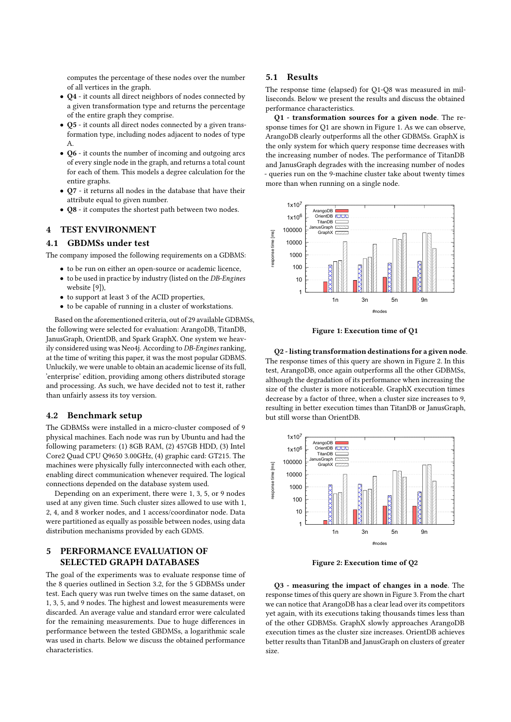computes the percentage of these nodes over the number of all vertices in the graph.

- Q4 it counts all direct neighbors of nodes connected by a given transformation type and returns the percentage of the entire graph they comprise.
- Q5 it counts all direct nodes connected by a given transformation type, including nodes adjacent to nodes of type A.
- Q6 it counts the number of incoming and outgoing arcs of every single node in the graph, and returns a total count for each of them. This models a degree calculation for the entire graphs.
- Q7 it returns all nodes in the database that have their attribute equal to given number.
- Q8 it computes the shortest path between two nodes.

# 4 TEST ENVIRONMENT

## 4.1 GBDMSs under test

The company imposed the following requirements on a GDBMS:

- to be run on either an open-source or academic licence,
- to be used in practice by industry (listed on the DB-Engines website [\[9\]](#page-5-15)),
- to support at least 3 of the ACID properties,
- to be capable of running in a cluster of workstations.

Based on the aforementioned criteria, out of 29 available GDBMSs, the following were selected for evaluation: ArangoDB, TitanDB, JanusGraph, OrientDB, and Spark GraphX. One system we heavily considered using was Neo4j. According to DB-Engines ranking, at the time of writing this paper, it was the most popular GDBMS. Unluckily, we were unable to obtain an academic license of its full, 'enterprise' edition, providing among others distributed storage and processing. As such, we have decided not to test it, rather than unfairly assess its toy version.

#### 4.2 Benchmark setup

The GDBMSs were installed in a micro-cluster composed of 9 physical machines. Each node was run by Ubuntu and had the following parameters: (1) 8GB RAM, (2) 457GB HDD, (3) Intel Core2 Quad CPU Q9650 3.00GHz, (4) graphic card: GT215. The machines were physically fully interconnected with each other, enabling direct communication whenever required. The logical connections depended on the database system used.

Depending on an experiment, there were 1, 3, 5, or 9 nodes used at any given time. Such cluster sizes allowed to use with 1, 2, 4, and 8 worker nodes, and 1 access/coordinator node. Data were partitioned as equally as possible between nodes, using data distribution mechanisms provided by each GDMS.

## 5 PERFORMANCE EVALUATION OF SELECTED GRAPH DATABASES

The goal of the experiments was to evaluate response time of the 8 queries outlined in Section [3.2,](#page-1-0) for the 5 GDBMSs under test. Each query was run twelve times on the same dataset, on 1, 3, 5, and 9 nodes. The highest and lowest measurements were discarded. An average value and standard error were calculated for the remaining measurements. Due to huge differences in performance between the tested GBDMSs, a logarithmic scale was used in charts. Below we discuss the obtained performance characteristics.

#### 5.1 Results

The response time (elapsed) for Q1-Q8 was measured in milliseconds. Below we present the results and discuss the obtained performance characteristics.

Q1 - transformation sources for a given node. The response times for Q1 are shown in Figure [1.](#page-2-0) As we can observe, ArangoDB clearly outperforms all the other GDBMSs. GraphX is the only system for which query response time decreases with the increasing number of nodes. The performance of TitanDB and JanusGraph degrades with the increasing number of nodes - queries run on the 9-machine cluster take about twenty times more than when running on a single node.

<span id="page-2-0"></span>

Figure 1: Execution time of Q1

Q2 - listing transformation destinations for a given node. The response times of this query are shown in Figure [2.](#page-2-1) In this test, ArangoDB, once again outperforms all the other GDBMSs, although the degradation of its performance when increasing the size of the cluster is more noticeable. GraphX execution times decrease by a factor of three, when a cluster size increases to 9, resulting in better execution times than TitanDB or JanusGraph, but still worse than OrientDB.

<span id="page-2-1"></span>

Figure 2: Execution time of Q2

Q3 - measuring the impact of changes in a node. The response times of this query are shown in Figure [3.](#page-3-0) From the chart we can notice that ArangoDB has a clear lead over its competitors yet again, with its executions taking thousands times less than of the other GDBMSs. GraphX slowly approaches ArangoDB execution times as the cluster size increases. OrientDB achieves better results than TitanDB and JanusGraph on clusters of greater size.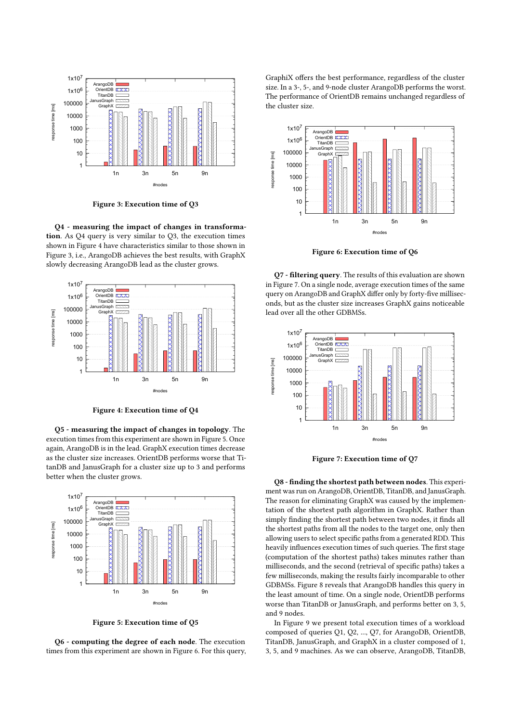<span id="page-3-0"></span>

Figure 3: Execution time of Q3

Q4 - measuring the impact of changes in transformation. As Q4 query is very similar to Q3, the execution times shown in Figure [4](#page-3-1) have characteristics similar to those shown in Figure [3,](#page-3-0) i.e., ArangoDB achieves the best results, with GraphX slowly decreasing ArangoDB lead as the cluster grows.

<span id="page-3-1"></span>

Figure 4: Execution time of Q4

Q5 - measuring the impact of changes in topology. The execution times from this experiment are shown in Figure [5.](#page-3-2) Once again, ArangoDB is in the lead. GraphX execution times decrease as the cluster size increases. OrientDB performs worse that TitanDB and JanusGraph for a cluster size up to 3 and performs better when the cluster grows.

<span id="page-3-2"></span>

Figure 5: Execution time of Q5

Q6 - computing the degree of each node. The execution times from this experiment are shown in Figure [6.](#page-3-3) For this query, GraphiX offers the best performance, regardless of the cluster size. In a 3-, 5-, and 9-node cluster ArangoDB performs the worst. The performance of OrientDB remains unchanged regardless of the cluster size.

<span id="page-3-3"></span>

Figure 6: Execution time of Q6

Q7 - filtering query. The results of this evaluation are shown in Figure [7.](#page-3-4) On a single node, average execution times of the same query on ArangoDB and GraphX differ only by forty-five milliseconds, but as the cluster size increases GraphX gains noticeable lead over all the other GDBMSs.

<span id="page-3-4"></span>

Figure 7: Execution time of Q7

Q8 - finding the shortest path between nodes. This experiment was run on ArangoDB, OrientDB, TitanDB, and JanusGraph. The reason for eliminating GraphX was caused by the implementation of the shortest path algorithm in GraphX. Rather than simply finding the shortest path between two nodes, it finds all the shortest paths from all the nodes to the target one, only then allowing users to select specific paths from a generated RDD. This heavily influences execution times of such queries. The first stage (computation of the shortest paths) takes minutes rather than milliseconds, and the second (retrieval of specific paths) takes a few milliseconds, making the results fairly incomparable to other GDBMSs. Figure [8](#page-4-0) reveals that ArangoDB handles this query in the least amount of time. On a single node, OrientDB performs worse than TitanDB or JanusGraph, and performs better on 3, 5, and 9 nodes.

In Figure [9](#page-4-1) we present total execution times of a workload composed of queries Q1, Q2, ..., Q7, for ArangoDB, OrientDB, TitanDB, JanusGraph, and GraphX in a cluster composed of 1, 3, 5, and 9 machines. As we can observe, ArangoDB, TitanDB,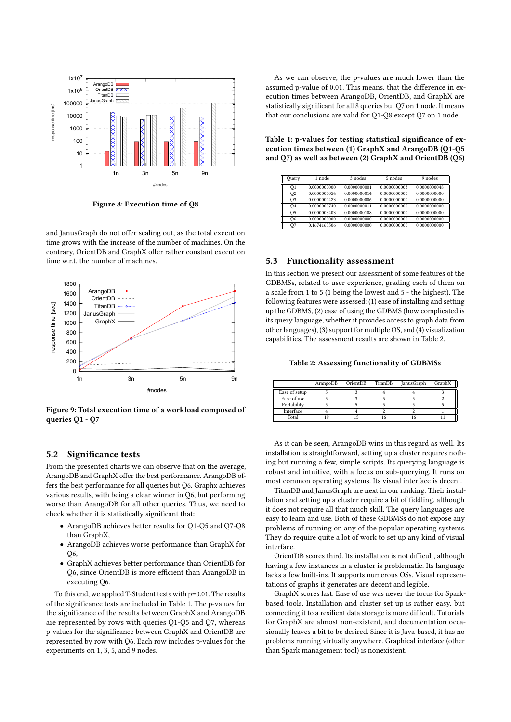<span id="page-4-0"></span>

Figure 8: Execution time of Q8

and JanusGraph do not offer scaling out, as the total execution time grows with the increase of the number of machines. On the contrary, OrientDB and GraphX offer rather constant execution time w.r.t. the number of machines.

<span id="page-4-1"></span>

Figure 9: Total execution time of a workload composed of queries Q1 - Q7

#### 5.2 Significance tests

From the presented charts we can observe that on the average, ArangoDB and GraphX offer the best performance. ArangoDB offers the best performance for all queries but Q6. Graphx achieves various results, with being a clear winner in Q6, but performing worse than ArangoDB for all other queries. Thus, we need to check whether it is statistically significant that:

- ArangoDB achieves better results for Q1-Q5 and Q7-Q8 than GraphX,
- ArangoDB achieves worse performance than GraphX for  $O<sub>6</sub>$
- GraphX achieves better performance than OrientDB for Q6, since OrientDB is more efficient than ArangoDB in executing Q6.

To this end, we applied T-Student tests with p=0.01. The results of the significance tests are included in Table [1.](#page-4-2) The p-values for the significance of the results between GraphX and ArangoDB are represented by rows with queries Q1-Q5 and Q7, whereas p-values for the significance between GraphX and OrientDB are represented by row with Q6. Each row includes p-values for the experiments on 1, 3, 5, and 9 nodes.

As we can observe, the p-values are much lower than the assumed p-value of 0.01. This means, that the difference in execution times between ArangoDB, OrientDB, and GraphX are statistically significant for all 8 queries but Q7 on 1 node. It means that our conclusions are valid for Q1-Q8 except Q7 on 1 node.

<span id="page-4-2"></span>Table 1: p-values for testing statistical significance of execution times between (1) GraphX and ArangoDB (Q1-Q5 and Q7) as well as between (2) GraphX and OrientDB (Q6)

| Ouery          | 1 node       | 3 nodes      | 5 nodes      | 9 nodes      |  |
|----------------|--------------|--------------|--------------|--------------|--|
| O <sub>1</sub> | 0.0000000000 | 0.0000000001 | 0.0000000003 | 0.0000000048 |  |
| O <sub>2</sub> | 0.0000000054 | 0.0000000014 | 0.0000000000 | 0.0000000000 |  |
| O <sub>3</sub> | 0.0000000423 | 0.0000000006 | 0.0000000000 | 0.0000000000 |  |
| O <sub>4</sub> | 0.0000000740 | 0.0000000011 | 0.0000000000 | 0.0000000000 |  |
| O <sub>5</sub> | 0.0000003403 | 0.0000000108 | 0.0000000000 | 0.0000000000 |  |
| O6             | 0.0000000000 | 0.0000000000 | 0.0000000000 | 0.0000000000 |  |
| Q7             | 0.1674163506 | 0.0000000000 | 0.0000000000 | 0.0000000000 |  |

#### 5.3 Functionality assessment

In this section we present our assessment of some features of the GDBMSs, related to user experience, grading each of them on a scale from 1 to 5 (1 being the lowest and 5 - the highest). The following features were assessed: (1) ease of installing and setting up the GDBMS, (2) ease of using the GDBMS (how complicated is its query language, whether it provides access to graph data from other languages), (3) support for multiple OS, and (4) visualization capabilities. The assessment results are shown in Table [2.](#page-4-3)

<span id="page-4-3"></span>Table 2: Assessing functionality of GDBMSs

|               | ArangoDB | OrientDB TitanDB | JanusGraph | GraphX |
|---------------|----------|------------------|------------|--------|
| Ease of setup |          |                  |            |        |
| Ease of use   |          |                  |            |        |
| Portability   |          |                  |            |        |
| Interface     |          |                  |            |        |
| Total         | 1 0      |                  |            |        |

As it can be seen, ArangoDB wins in this regard as well. Its installation is straightforward, setting up a cluster requires nothing but running a few, simple scripts. Its querying language is robust and intuitive, with a focus on sub-querying. It runs on most common operating systems. Its visual interface is decent.

TitanDB and JanusGraph are next in our ranking. Their installation and setting up a cluster require a bit of fiddling, although it does not require all that much skill. The query languages are easy to learn and use. Both of these GDBMSs do not expose any problems of running on any of the popular operating systems. They do require quite a lot of work to set up any kind of visual interface.

OrientDB scores third. Its installation is not difficult, although having a few instances in a cluster is problematic. Its language lacks a few built-ins. It supports numerous OSs. Visual representations of graphs it generates are decent and legible.

GraphX scores last. Ease of use was never the focus for Sparkbased tools. Installation and cluster set up is rather easy, but connecting it to a resilient data storage is more difficult. Tutorials for GraphX are almost non-existent, and documentation occasionally leaves a bit to be desired. Since it is Java-based, it has no problems running virtually anywhere. Graphical interface (other than Spark management tool) is nonexistent.